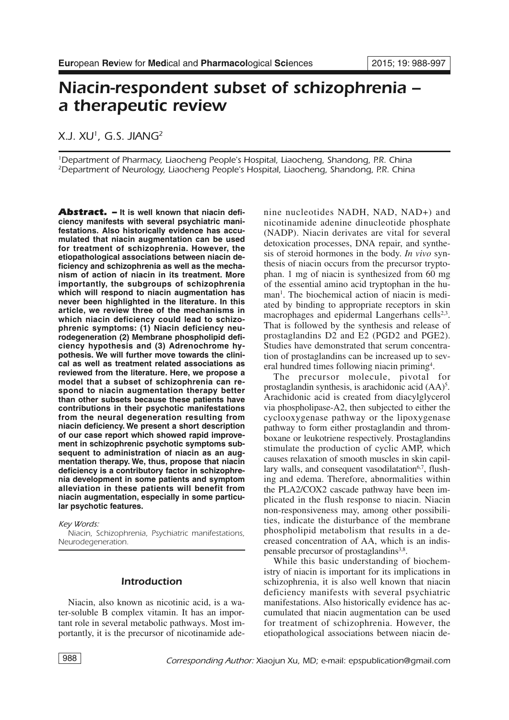# *Niacin-respondent subset of schizophrenia – a therapeutic review*

# *X.J. XU1, G.S. JIANG2*

*1Department of Pharmacy, Liaocheng People's Hospital, Liaocheng, Shandong, P.R. China 2Department of Neurology, Liaocheng People's Hospital, Liaocheng, Shandong, P.R. China*

*Abstract. –* **It is well known that niacin deficiency manifests with several psychiatric manifestations. Also historically evidence has accumulated that niacin augmentation can be used for treatment of schizophrenia. However, the etiopathological associations between niacin deficiency and schizophrenia as well as the mechanism of action of niacin in its treatment. More importantly, the subgroups of schizophrenia which will respond to niacin augmentation has never been highlighted in the literature. In this article, we review three of the mechanisms in which niacin deficiency could lead to schizophrenic symptoms: (1) Niacin deficiency neurodegeneration (2) Membrane phospholipid deficiency hypothesis and (3) Adrenochrome hypothesis. We will further move towards the clinical as well as treatment related associations as reviewed from the literature. Here, we propose a model that a subset of schizophrenia can respond to niacin augmentation therapy better than other subsets because these patients have contributions in their psychotic manifestations from the neural degeneration resulting from niacin deficiency. We present a short description of our case report which showed rapid improvement in schizophrenic psychotic symptoms subsequent to administration of niacin as an augmentation therapy. We, thus, propose that niacin deficiency is a contributory factor in schizophrenia development in some patients and symptom alleviation in these patients will benefit from niacin augmentation, especially in some particular psychotic features.**

*Key Words:*

*Niacin, Schizophrenia, Psychiatric manifestations, Neurodegeneration.*

# *Introduction*

Niacin, also known as nicotinic acid, is a water-soluble B complex vitamin. It has an important role in several metabolic pathways. Most importantly, it is the precursor of nicotinamide adenine nucleotides NADH, NAD, NAD+) and nicotinamide adenine dinucleotide phosphate (NADP). Niacin derivates are vital for several detoxication processes, DNA repair, and synthesis of steroid hormones in the body. *In vivo* synthesis of niacin occurs from the precursor tryptophan. 1 mg of niacin is synthesized from 60 mg of the essential amino acid tryptophan in the human<sup>1</sup>. The biochemical action of niacin is mediated by binding to appropriate receptors in skin macrophages and epidermal Langerhans cells<sup>2,3</sup>. That is followed by the synthesis and release of prostaglandins D2 and E2 (PGD2 and PGE2). Studies have demonstrated that serum concentration of prostaglandins can be increased up to several hundred times following niacin priming<sup>4</sup>.

The precursor molecule, pivotal for prostaglandin synthesis, is arachidonic acid (AA) 5 . Arachidonic acid is created from diacylglycerol via phospholipase-A2, then subjected to either the cyclooxygenase pathway or the lipoxygenase pathway to form either prostaglandin and thromboxane or leukotriene respectively. Prostaglandins stimulate the production of cyclic AMP, which causes relaxation of smooth muscles in skin capillary walls, and consequent vasodilatation<sup>6,7</sup>, flushing and edema. Therefore, abnormalities within the PLA2/COX2 cascade pathway have been implicated in the flush response to niacin. Niacin non-responsiveness may, among other possibilities, indicate the disturbance of the membrane phospholipid metabolism that results in a decreased concentration of AA, which is an indispensable precursor of prostaglandins<sup>3,8</sup>.

While this basic understanding of biochemistry of niacin is important for its implications in schizophrenia, it is also well known that niacin deficiency manifests with several psychiatric manifestations. Also historically evidence has accumulated that niacin augmentation can be used for treatment of schizophrenia. However, the etiopathological associations between niacin de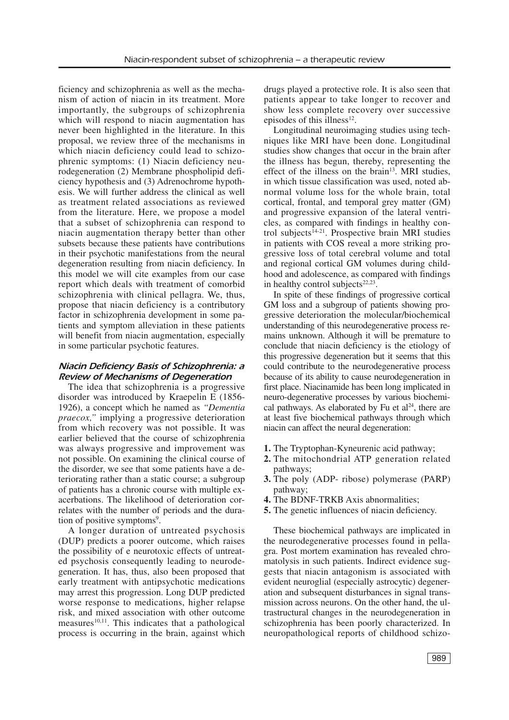ficiency and schizophrenia as well as the mechanism of action of niacin in its treatment. More importantly, the subgroups of schizophrenia which will respond to niacin augmentation has never been highlighted in the literature. In this proposal, we review three of the mechanisms in which niacin deficiency could lead to schizophrenic symptoms: (1) Niacin deficiency neurodegeneration (2) Membrane phospholipid deficiency hypothesis and (3) Adrenochrome hypothesis. We will further address the clinical as well as treatment related associations as reviewed from the literature. Here, we propose a model that a subset of schizophrenia can respond to niacin augmentation therapy better than other subsets because these patients have contributions in their psychotic manifestations from the neural degeneration resulting from niacin deficiency. In this model we will cite examples from our case report which deals with treatment of comorbid schizophrenia with clinical pellagra. We, thus, propose that niacin deficiency is a contributory factor in schizophrenia development in some patients and symptom alleviation in these patients will benefit from niacin augmentation, especially in some particular psychotic features.

#### *Niacin Deficiency Basis of Schizophrenia: a Review of Mechanisms of Degeneration*

The idea that schizophrenia is a progressive disorder was introduced by Kraepelin E (1856- 1926), a concept which he named as *"Dementia praecox,"* implying a progressive deterioration from which recovery was not possible. It was earlier believed that the course of schizophrenia was always progressive and improvement was not possible. On examining the clinical course of the disorder, we see that some patients have a deteriorating rather than a static course; a subgroup of patients has a chronic course with multiple exacerbations. The likelihood of deterioration correlates with the number of periods and the duration of positive symptoms<sup>9</sup>.

A longer duration of untreated psychosis (DUP) predicts a poorer outcome, which raises the possibility of e neurotoxic effects of untreated psychosis consequently leading to neurodegeneration. It has, thus, also been proposed that early treatment with antipsychotic medications may arrest this progression. Long DUP predicted worse response to medications, higher relapse risk, and mixed association with other outcome measures<sup>10,11</sup>. This indicates that a pathological process is occurring in the brain, against which drugs played a protective role. It is also seen that patients appear to take longer to recover and show less complete recovery over successive episodes of this illness $^{12}$ .

Longitudinal neuroimaging studies using techniques like MRI have been done. Longitudinal studies show changes that occur in the brain after the illness has begun, thereby, representing the effect of the illness on the brain $13$ . MRI studies, in which tissue classification was used, noted abnormal volume loss for the whole brain, total cortical, frontal, and temporal grey matter (GM) and progressive expansion of the lateral ventricles, as compared with findings in healthy control subjects<sup>14-21</sup>. Prospective brain MRI studies in patients with COS reveal a more striking progressive loss of total cerebral volume and total and regional cortical GM volumes during childhood and adolescence, as compared with findings in healthy control subjects<sup>22,23</sup>.

In spite of these findings of progressive cortical GM loss and a subgroup of patients showing progressive deterioration the molecular/biochemical understanding of this neurodegenerative process remains unknown. Although it will be premature to conclude that niacin deficiency is the etiology of this progressive degeneration but it seems that this could contribute to the neurodegenerative process because of its ability to cause neurodegeneration in first place. Niacinamide has been long implicated in neuro-degenerative processes by various biochemical pathways. As elaborated by Fu et  $al<sup>24</sup>$ , there are at least five biochemical pathways through which niacin can affect the neural degeneration:

- **1.** The Tryptophan-Kyneurenic acid pathway;
- **2.** The mitochondrial ATP generation related pathways;
- **3.** The poly (ADP- ribose) polymerase (PARP) pathway;
- **4.** The BDNF-TRKB Axis abnormalities;
- **5.** The genetic influences of niacin deficiency.

These biochemical pathways are implicated in the neurodegenerative processes found in pellagra. Post mortem examination has revealed chromatolysis in such patients. Indirect evidence suggests that niacin antagonism is associated with evident neuroglial (especially astrocytic) degeneration and subsequent disturbances in signal transmission across neurons. On the other hand, the ultrastructural changes in the neurodegeneration in schizophrenia has been poorly characterized. In neuropathological reports of childhood schizo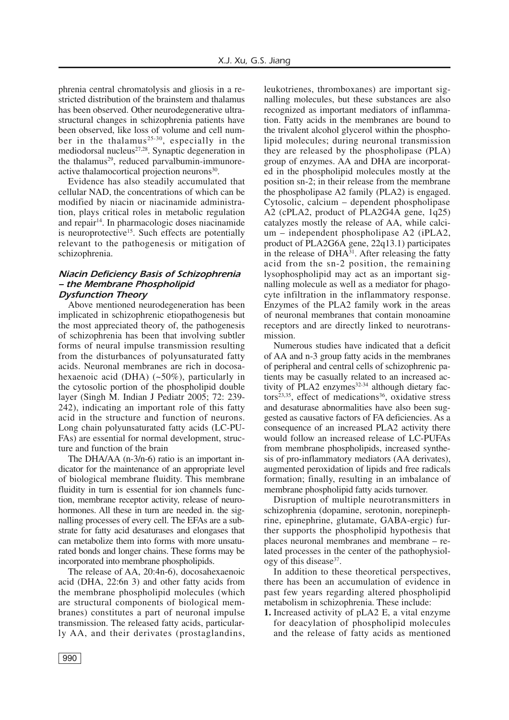phrenia central chromatolysis and gliosis in a restricted distribution of the brainstem and thalamus has been observed. Other neurodegenerative ultrastructural changes in schizophrenia patients have been observed, like loss of volume and cell number in the thalamus<sup>25-30</sup>, especially in the mediodorsal nucleus<sup>27,28</sup>. Synaptic degeneration in the thalamus<sup>29</sup>, reduced parvalbumin-immunoreactive thalamocortical projection neurons<sup>30</sup>.

Evidence has also steadily accumulated that cellular NAD, the concentrations of which can be modified by niacin or niacinamide administration, plays critical roles in metabolic regulation and repair<sup>14</sup>. In pharmacologic doses niacinamide is neuroprotective<sup>15</sup>. Such effects are potentially relevant to the pathogenesis or mitigation of schizophrenia.

#### *Niacin Deficiency Basis of Schizophrenia – the Membrane Phospholipid Dysfunction Theory*

Above mentioned neurodegeneration has been implicated in schizophrenic etiopathogenesis but the most appreciated theory of, the pathogenesis of schizophrenia has been that involving subtler forms of neural impulse transmission resulting from the disturbances of polyunsaturated fatty acids. Neuronal membranes are rich in docosahexaenoic acid (DHA) (~50%), particularly in the cytosolic portion of the phospholipid double layer (Singh M. Indian J Pediatr 2005; 72: 239- 242), indicating an important role of this fatty acid in the structure and function of neurons. Long chain polyunsaturated fatty acids (LC-PU-FAs) are essential for normal development, structure and function of the brain

The DHA/AA (n-3/n-6) ratio is an important indicator for the maintenance of an appropriate level of biological membrane fluidity. This membrane fluidity in turn is essential for ion channels function, membrane receptor activity, release of neurohormones. All these in turn are needed in. the signalling processes of every cell. The EFAs are a substrate for fatty acid desaturases and elongases that can metabolize them into forms with more unsaturated bonds and longer chains. These forms may be incorporated into membrane phospholipids.

The release of AA, 20:4n-6), docosahexaenoic acid (DHA, 22:6n 3) and other fatty acids from the membrane phospholipid molecules (which are structural components of biological membranes) constitutes a part of neuronal impulse transmission. The released fatty acids, particularly AA, and their derivates (prostaglandins,

leukotrienes, thromboxanes) are important signalling molecules, but these substances are also recognized as important mediators of inflammation. Fatty acids in the membranes are bound to the trivalent alcohol glycerol within the phospholipid molecules; during neuronal transmission they are released by the phospholipase (PLA) group of enzymes. AA and DHA are incorporated in the phospholipid molecules mostly at the position sn-2; in their release from the membrane the phospholipase A2 family (PLA2) is engaged. Cytosolic, calcium – dependent phospholipase A2 (cPLA2, product of PLA2G4A gene, 1q25) catalyzes mostly the release of AA, while calcium – independent phospholipase A2 (iPLA2, product of PLA2G6A gene, 22q13.1) participates in the release of DHA<sup>31</sup>. After releasing the fatty acid from the sn-2 position, the remaining lysophospholipid may act as an important signalling molecule as well as a mediator for phagocyte infiltration in the inflammatory response. Enzymes of the PLA2 family work in the areas of neuronal membranes that contain monoamine receptors and are directly linked to neurotransmission.

Numerous studies have indicated that a deficit of AA and n-3 group fatty acids in the membranes of peripheral and central cells of schizophrenic patients may be casually related to an increased activity of PLA2 enzymes $32-34$  although dietary factors<sup>23,35</sup>, effect of medications<sup>36</sup>, oxidative stress and desaturase abnormalities have also been suggested as causative factors of FA deficiencies. As a consequence of an increased PLA2 activity there would follow an increased release of LC-PUFAs from membrane phospholipids, increased synthesis of pro-inflammatory mediators (AA derivates), augmented peroxidation of lipids and free radicals formation; finally, resulting in an imbalance of membrane phospholipid fatty acids turnover.

Disruption of multiple neurotransmitters in schizophrenia (dopamine, serotonin, norepinephrine, epinephrine, glutamate, GABA-ergic) further supports the phospholipid hypothesis that places neuronal membranes and membrane – related processes in the center of the pathophysiology of this disease<sup>37</sup>.

In addition to these theoretical perspectives, there has been an accumulation of evidence in past few years regarding altered phospholipid metabolism in schizophrenia. These include:

**1.** Increased activity of pLA2 E, a vital enzyme for deacylation of phospholipid molecules and the release of fatty acids as mentioned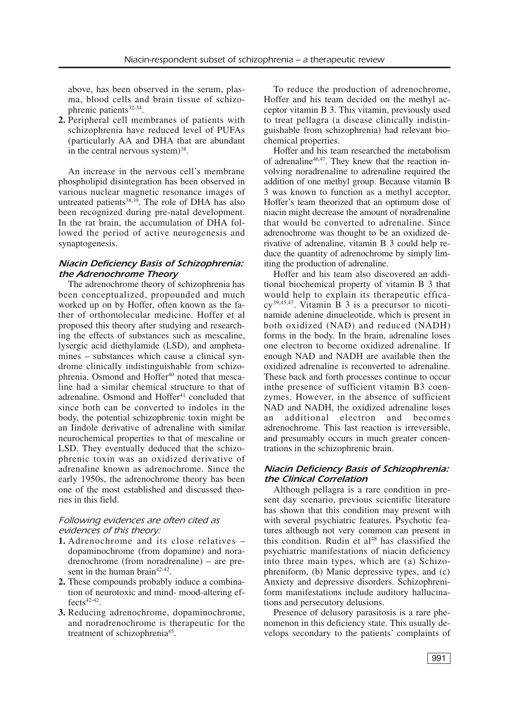above, has been observed in the serum, plasma, blood cells and brain tissue of schizophrenic patients<sup>32-34</sup>.

**2.** Peripheral cell membranes of patients with schizophrenia have reduced level of PUFAs (particularly AA and DHA that are abundant in the central nervous system)<sup>38</sup>.

An increase in the nervous cell's membrane phospholipid disintegration has been observed in various nuclear magnetic resonance images of untreated patients<sup>38,39</sup>. The role of DHA has also been recognized during pre-natal development. In the rat brain, the accumulation of DHA followed the period of active neurogenesis and synaptogenesis.

# *Niacin Deficiency Basis of Schizophrenia: the Adrenochrome Theory*

The adrenochrome theory of schizophrenia has been conceptualized, propounded and much worked up on by Hoffer, often known as the father of orthomolecular medicine. Hoffer et al proposed this theory after studying and researching the effects of substances such as mescaline, lysergic acid diethylamide (LSD), and amphetamines – substances which cause a clinical syndrome clinically indistinguishable from schizophrenia. Osmond and Hoffer<sup>40</sup> noted that mescaline had a similar chemical structure to that of adrenaline. Osmond and Hoffer<sup>41</sup> concluded that since both can be converted to indoles in the body, the potential schizophrenic toxin might be an Iindole derivative of adrenaline with similar neurochemical properties to that of mescaline or LSD. They eventually deduced that the schizophrenic toxin was an oxidized derivative of adrenaline known as adrenochrome. Since the early 1950s, the adrenochrome theory has been one of the most established and discussed theories in this field.

# *Following evidences are often cited as evidences of this theory:*

- **1.** Adrenochrome and its close relatives dopaminochrome (from dopamine) and noradrenochrome (from noradrenaline) – are present in the human brain<sup>42-42</sup>.
- **2.** These compounds probably induce a combination of neurotoxic and mind- mood-altering effects<sup>42-42</sup>.
- **3.** Reducing adrenochrome, dopaminochrome, and noradrenochrome is therapeutic for the treatment of schizophrenia<sup>45</sup>.

To reduce the production of adrenochrome, Hoffer and his team decided on the methyl acceptor vitamin B 3. This vitamin, previously used to treat pellagra (a disease clinically indistinguishable from schizophrenia) had relevant biochemical properties.

Hoffer and his team researched the metabolism of adrenaline<sup>46,47</sup>. They knew that the reaction involving noradrenaline to adrenaline required the addition of one methyl group. Because vitamin B 3 was known to function as a methyl acceptor, Hoffer's team theorized that an optimum dose of niacin might decrease the amount of noradrenaline that would be converted to adrenaline. Since adrenochrome was thought to be an oxidized derivative of adrenaline, vitamin B 3 could help reduce the quantity of adrenochrome by simply limiting the production of adrenaline.

Hoffer and his team also discovered an additional biochemical property of vitamin B 3 that would help to explain its therapeutic efficacy39,45,47 . Vitamin B 3 is a precursor to nicotinamide adenine dinucleotide, which is present in both oxidized (NAD) and reduced (NADH) forms in the body. In the brain, adrenaline loses one electron to become oxidized adrenaline. If enough NAD and NADH are available then the oxidized adrenaline is reconverted to adrenaline. These back and forth processes continue to occur inthe presence of sufficient vitamin B3 coenzymes. However, in the absence of sufficient NAD and NADH, the oxidized adrenaline loses additional electron and becomes adrenochrome. This last reaction is irreversible, and presumably occurs in much greater concentrations in the schizophrenic brain.

# *Niacin Deficiency Basis of Schizophrenia: the Clinical Correlation*

Although pellagra is a rare condition in present day scenario, previous scientific literature has shown that this condition may present with with several psychiatric features. Psychotic features although not very common can present in this condition. Rudin et al <sup>48</sup> has classified the psychiatric manifestations of niacin deficiency into three main types, which are (a) Schizophreniform, (b) Manic depressive types, and (c) Anxiety and depressive disorders. Schizophreniform manifestations include auditory hallucinations and persecutory delusions.

Presence of delusory parasitosis is a rare phenomenon in this deficiency state. This usually develops secondary to the patients' complaints of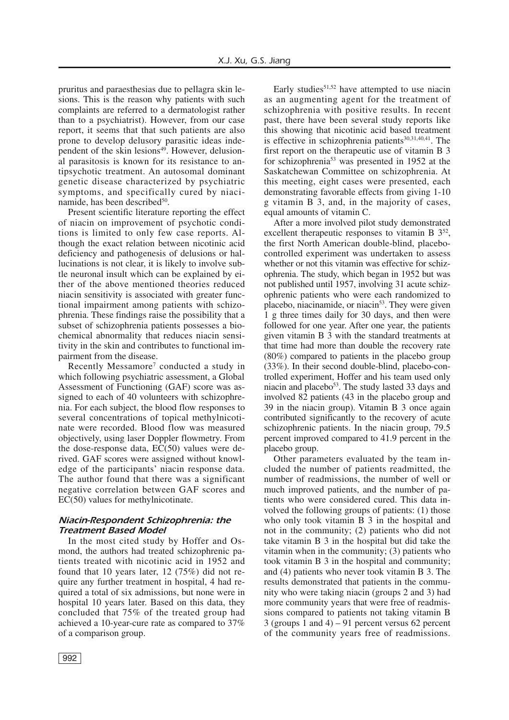pruritus and paraesthesias due to pellagra skin lesions. This is the reason why patients with such complaints are referred to a dermatologist rather than to a psychiatrist). However, from our case report, it seems that that such patients are also prone to develop delusory parasitic ideas independent of the skin lesions<sup>49</sup>. However, delusional parasitosis is known for its resistance to antipsychotic treatment. An autosomal dominant genetic disease characterized by psychiatric symptoms, and specifically cured by niacinamide, has been described<sup>50</sup>.

Present scientific literature reporting the effect of niacin on improvement of psychotic conditions is limited to only few case reports. Although the exact relation between nicotinic acid deficiency and pathogenesis of delusions or hallucinations is not clear, it is likely to involve subtle neuronal insult which can be explained by either of the above mentioned theories reduced niacin sensitivity is associated with greater functional impairment among patients with schizophrenia. These findings raise the possibility that a subset of schizophrenia patients possesses a biochemical abnormality that reduces niacin sensitivity in the skin and contributes to functional impairment from the disease.

Recently Messamore<sup>7</sup> conducted a study in which following psychiatric assessment, a Global Assessment of Functioning (GAF) score was assigned to each of 40 volunteers with schizophrenia. For each subject, the blood flow responses to several concentrations of topical methylnicotinate were recorded. Blood flow was measured objectively, using laser Doppler flowmetry. From the dose-response data, EC(50) values were derived. GAF scores were assigned without knowledge of the participants' niacin response data. The author found that there was a significant negative correlation between GAF scores and EC(50) values for methylnicotinate.

# *Niacin-Respondent Schizophrenia: the Treatment Based Model*

In the most cited study by Hoffer and Osmond, the authors had treated schizophrenic patients treated with nicotinic acid in 1952 and found that 10 years later, 12 (75%) did not require any further treatment in hospital, 4 had required a total of six admissions, but none were in hospital 10 years later. Based on this data, they concluded that 75% of the treated group had achieved a 10-year-cure rate as compared to 37% of a comparison group.

Early studies $51,52$  have attempted to use niacin as an augmenting agent for the treatment of schizophrenia with positive results. In recent past, there have been several study reports like this showing that nicotinic acid based treatment is effective in schizophrenia patients<sup>30,31,40,41</sup>. The first report on the therapeutic use of vitamin B 3 for schizophrenia53 was presented in 1952 at the Saskatchewan Committee on schizophrenia. At this meeting, eight cases were presented, each demonstrating favorable effects from giving 1-10 g vitamin B 3, and, in the majority of cases, equal amounts of vitamin C.

After a more involved pilot study demonstrated excellent therapeutic responses to vitamin B 3<sup>52</sup>, the first North American double-blind, placebocontrolled experiment was undertaken to assess whether or not this vitamin was effective for schizophrenia. The study, which began in 1952 but was not published until 1957, involving 31 acute schizophrenic patients who were each randomized to placebo, niacinamide, or niacin<sup>53</sup>. They were given 1 g three times daily for 30 days, and then were followed for one year. After one year, the patients given vitamin B 3 with the standard treatments at that time had more than double the recovery rate (80%) compared to patients in the placebo group (33%). In their second double-blind, placebo-controlled experiment, Hoffer and his team used only niacin and placebo<sup>53</sup>. The study lasted 33 days and involved 82 patients (43 in the placebo group and 39 in the niacin group). Vitamin B 3 once again contributed significantly to the recovery of acute schizophrenic patients. In the niacin group, 79.5 percent improved compared to 41.9 percent in the placebo group.

Other parameters evaluated by the team included the number of patients readmitted, the number of readmissions, the number of well or much improved patients, and the number of patients who were considered cured. This data involved the following groups of patients: (1) those who only took vitamin B 3 in the hospital and not in the community; (2) patients who did not take vitamin B 3 in the hospital but did take the vitamin when in the community; (3) patients who took vitamin B 3 in the hospital and community; and (4) patients who never took vitamin B 3. The results demonstrated that patients in the community who were taking niacin (groups 2 and 3) had more community years that were free of readmissions compared to patients not taking vitamin B  $3$  (groups 1 and 4) – 91 percent versus 62 percent of the community years free of readmissions.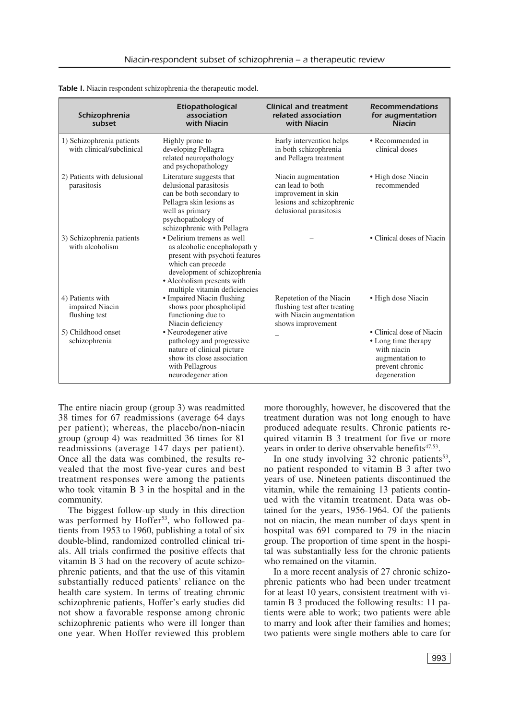| Schizophrenia<br>subset                                | Etiopathological<br>association<br>with Niacin                                                                                                                                                                   | <b>Clinical and treatment</b><br>related association<br>with Niacin                                                   | <b>Recommendations</b><br>for augmentation<br><b>Niacin</b>                                                           |
|--------------------------------------------------------|------------------------------------------------------------------------------------------------------------------------------------------------------------------------------------------------------------------|-----------------------------------------------------------------------------------------------------------------------|-----------------------------------------------------------------------------------------------------------------------|
| 1) Schizophrenia patients<br>with clinical/subclinical | Highly prone to<br>developing Pellagra<br>related neuropathology<br>and psychopathology                                                                                                                          | Early intervention helps<br>in both schizophrenia<br>and Pellagra treatment                                           | • Recommended in<br>clinical doses                                                                                    |
| 2) Patients with delusional<br>parasitosis             | Literature suggests that<br>delusional parasitosis<br>can be both secondary to<br>Pellagra skin lesions as<br>well as primary<br>psychopathology of<br>schizophrenic with Pellagra                               | Niacin augmentation<br>can lead to both<br>improvement in skin<br>lesions and schizophrenic<br>delusional parasitosis | • High dose Niacin<br>recommended                                                                                     |
| 3) Schizophrenia patients<br>with alcoholism           | • Delirium tremens as well<br>as alcoholic encephalopath y<br>present with psychoti features<br>which can precede<br>development of schizophrenia<br>• Alcoholism presents with<br>multiple vitamin deficiencies |                                                                                                                       | • Clinical doses of Niacin                                                                                            |
| 4) Patients with<br>impaired Niacin<br>flushing test   | • Impaired Niacin flushing<br>shows poor phospholipid<br>functioning due to<br>Niacin deficiency                                                                                                                 | Repetetion of the Niacin<br>flushing test after treating<br>with Niacin augmentation<br>shows improvement             | • High dose Niacin                                                                                                    |
| 5) Childhood onset<br>schizophrenia                    | • Neurodegener ative<br>pathology and progressive<br>nature of clinical picture<br>show its close association<br>with Pellagrous<br>neurodegener ation                                                           |                                                                                                                       | • Clinical dose of Niacin<br>• Long time therapy<br>with niacin<br>augmentation to<br>prevent chronic<br>degeneration |

*Table I.* Niacin respondent schizophrenia-the therapeutic model.

The entire niacin group (group 3) was readmitted 38 times for 67 readmissions (average 64 days per patient); whereas, the placebo/non-niacin group (group 4) was readmitted 36 times for 81 readmissions (average 147 days per patient). Once all the data was combined, the results revealed that the most five-year cures and best treatment responses were among the patients who took vitamin B 3 in the hospital and in the community.

The biggest follow-up study in this direction was performed by Hoffer<sup>53</sup>, who followed patients from 1953 to 1960, publishing a total of six double-blind, randomized controlled clinical trials. All trials confirmed the positive effects that vitamin B 3 had on the recovery of acute schizophrenic patients, and that the use of this vitamin substantially reduced patients' reliance on the health care system. In terms of treating chronic schizophrenic patients, Hoffer's early studies did not show a favorable response among chronic schizophrenic patients who were ill longer than one year. When Hoffer reviewed this problem more thoroughly, however, he discovered that the treatment duration was not long enough to have produced adequate results. Chronic patients required vitamin B 3 treatment for five or more years in order to derive observable benefits<sup>47,53</sup>.

In one study involving 32 chronic patients<sup>53</sup>, no patient responded to vitamin B 3 after two years of use. Nineteen patients discontinued the vitamin, while the remaining 13 patients continued with the vitamin treatment. Data was obtained for the years, 1956-1964. Of the patients not on niacin, the mean number of days spent in hospital was 691 compared to 79 in the niacin group. The proportion of time spent in the hospital was substantially less for the chronic patients who remained on the vitamin.

In a more recent analysis of 27 chronic schizophrenic patients who had been under treatment for at least 10 years, consistent treatment with vitamin B 3 produced the following results: 11 patients were able to work; two patients were able to marry and look after their families and homes; two patients were single mothers able to care for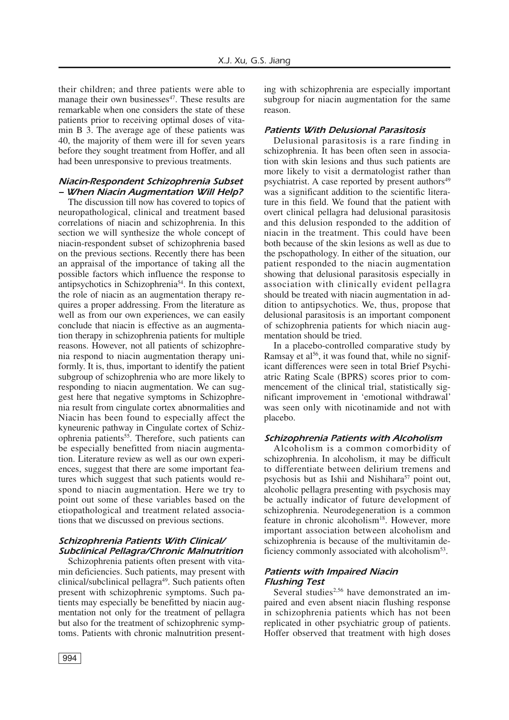their children; and three patients were able to manage their own businesses<sup>47</sup>. These results are remarkable when one considers the state of these patients prior to receiving optimal doses of vitamin B 3. The average age of these patients was 40, the majority of them were ill for seven years before they sought treatment from Hoffer, and all had been unresponsive to previous treatments.

#### *Niacin-Respondent Schizophrenia Subset – When Niacin Augmentation Will Help?*

The discussion till now has covered to topics of neuropathological, clinical and treatment based correlations of niacin and schizophrenia. In this section we will synthesize the whole concept of niacin-respondent subset of schizophrenia based on the previous sections. Recently there has been an appraisal of the importance of taking all the possible factors which influence the response to antipsychotics in Schizophrenia<sup>54</sup>. In this context, the role of niacin as an augmentation therapy requires a proper addressing. From the literature as well as from our own experiences, we can easily conclude that niacin is effective as an augmentation therapy in schizophrenia patients for multiple reasons. However, not all patients of schizophrenia respond to niacin augmentation therapy uniformly. It is, thus, important to identify the patient subgroup of schizophrenia who are more likely to responding to niacin augmentation. We can suggest here that negative symptoms in Schizophrenia result from cingulate cortex abnormalities and Niacin has been found to especially affect the kyneurenic pathway in Cingulate cortex of Schizophrenia patients<sup>55</sup>. Therefore, such patients can be especially benefitted from niacin augmentation. Literature review as well as our own experiences, suggest that there are some important features which suggest that such patients would respond to niacin augmentation. Here we try to point out some of these variables based on the etiopathological and treatment related associations that we discussed on previous sections.

# *Schizophrenia Patients With Clinical/ Subclinical Pellagra/Chronic Malnutrition*

Schizophrenia patients often present with vitamin deficiencies. Such patients, may present with clinical/subclinical pellagra<sup>49</sup>. Such patients often present with schizophrenic symptoms. Such patients may especially be benefitted by niacin augmentation not only for the treatment of pellagra but also for the treatment of schizophrenic symptoms. Patients with chronic malnutrition presenting with schizophrenia are especially important subgroup for niacin augmentation for the same reason.

# *Patients With Delusional Parasitosis*

Delusional parasitosis is a rare finding in schizophrenia. It has been often seen in association with skin lesions and thus such patients are more likely to visit a dermatologist rather than psychiatrist. A case reported by present authors<sup>49</sup> was a significant addition to the scientific literature in this field. We found that the patient with overt clinical pellagra had delusional parasitosis and this delusion responded to the addition of niacin in the treatment. This could have been both because of the skin lesions as well as due to the pschopathology. In either of the situation, our patient responded to the niacin augmentation showing that delusional parasitosis especially in association with clinically evident pellagra should be treated with niacin augmentation in addition to antipsychotics. We, thus, propose that delusional parasitosis is an important component of schizophrenia patients for which niacin augmentation should be tried.

In a placebo-controlled comparative study by Ramsay et al 56 , it was found that, while no significant differences were seen in total Brief Psychiatric Rating Scale (BPRS) scores prior to commencement of the clinical trial, statistically significant improvement in 'emotional withdrawal' was seen only with nicotinamide and not with placebo.

#### *Schizophrenia Patients with Alcoholism*

Alcoholism is a common comorbidity of schizophrenia. In alcoholism, it may be difficult to differentiate between delirium tremens and psychosis but as Ishii and Nishihara<sup>57</sup> point out, alcoholic pellagra presenting with psychosis may be actually indicator of future development of schizophrenia. Neurodegeneration is a common feature in chronic alcoholism<sup>18</sup>. However, more important association between alcoholism and schizophrenia is because of the multivitamin deficiency commonly associated with alcoholism<sup>53</sup>.

# *Patients with Impaired Niacin Flushing Test*

Several studies<sup>2,56</sup> have demonstrated an impaired and even absent niacin flushing response in schizophrenia patients which has not been replicated in other psychiatric group of patients. Hoffer observed that treatment with high doses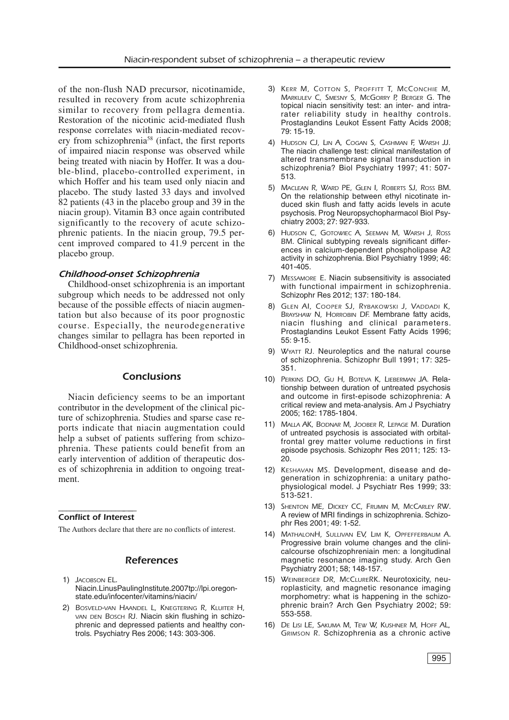of the non-flush NAD precursor, nicotinamide, resulted in recovery from acute schizophrenia similar to recovery from pellagra dementia. Restoration of the nicotinic acid-mediated flush response correlates with niacin-mediated recovery from schizophrenia58 (infact, the first reports of impaired niacin response was observed while being treated with niacin by Hoffer. It was a double-blind, placebo-controlled experiment, in which Hoffer and his team used only niacin and placebo. The study lasted 33 days and involved 82 patients (43 in the placebo group and 39 in the niacin group). Vitamin B3 once again contributed significantly to the recovery of acute schizophrenic patients. In the niacin group, 79.5 percent improved compared to 41.9 percent in the placebo group.

#### *Childhood-onset Schizophrenia*

Childhood-onset schizophrenia is an important subgroup which needs to be addressed not only because of the possible effects of niacin augmentation but also because of its poor prognostic course. Especially, the neurodegenerative changes similar to pellagra has been reported in Childhood-onset schizophrenia.

#### *Conclusions*

Niacin deficiency seems to be an important contributor in the development of the clinical picture of schizophrenia. Studies and sparse case reports indicate that niacin augmentation could help a subset of patients suffering from schizophrenia. These patients could benefit from an early intervention of addition of therapeutic doses of schizophrenia in addition to ongoing treatment.

#### –––––––––––––––––-––– *Conflict of Interest*

The Authors declare that there are no conflicts of interest.

# *References*

- 1) *JACOBSON EL*. Niacin.LinusPaulingInstitute.2007tp://lpi.oregonstate.edu/infocenter/vitamins/niacin/
- 2) *BOSVELD-VAN HAANDEL L, KNEGTERING R, KLUITER H, VAN DEN BOSCH RJ.* Niacin skin flushing in schizophrenic and depressed patients and healthy controls. Psychiatry Res 2006; 143: 303-306.
- 3) *KERR M, COTTON S, PROFFITT T, MCCONCHIE M, MARKULEV C, SMESNY S, MCGORRY P, BERGER G.* The topical niacin sensitivity test: an inter- and intrarater reliability study in healthy controls. Prostaglandins Leukot Essent Fatty Acids 2008; 79: 15-19.
- 4) *HUDSON CJ, LIN A, COGAN S, CASHMAN F, WARSH JJ.* The niacin challenge test: clinical manifestation of altered transmembrane signal transduction in schizophrenia? Biol Psychiatry 1997; 41: 507- 513.
- 5) *MACLEAN R, WARD PE, GLEN I, ROBERTS SJ, ROSS BM*. On the relationship between ethyl nicotinate induced skin flush and fatty acids levels in acute psychosis. Prog Neuropsychopharmacol Biol Psychiatry 2003; 27: 927-933.
- 6) *HUDSON C, GOTOWIEC A, SEEMAN M, WARSH J, ROSS BM*. Clinical subtyping reveals significant differences in calcium-dependent phospholipase A2 activity in schizophrenia. Biol Psychiatry 1999; 46: 401-405.
- 7) *MESSAMORE E*. Niacin subsensitivity is associated with functional impairment in schizophrenia. Schizophr Res 2012; 137: 180-184.
- 8) *GLEN AI, COOPER SJ, RYBAKOWSKI J, VADDADI K, BRAYSHAW N, HORROBIN DF.* Membrane fatty acids, niacin flushing and clinical parameters. Prostaglandins Leukot Essent Fatty Acids 1996; 55: 9-15.
- 9) *WYATT RJ.* Neuroleptics and the natural course of schizophrenia. Schizophr Bull 1991; 17: 325- 351.
- 10) *PERKINS DO, GU H, BOTEVA K, LIEBERMAN JA.* Relationship between duration of untreated psychosis and outcome in first-episode schizophrenia: A critical review and meta-analysis. Am J Psychiatry 2005; 162: 1785-1804.
- 11) *MALLA AK, BODNAR M, JOOBER R, LEPAGE M.* Duration of untreated psychosis is associated with orbitalfrontal grey matter volume reductions in first episode psychosis. Schizophr Res 2011; 125: 13- 20.
- 12) *KESHAVAN MS.* Development, disease and degeneration in schizophrenia: a unitary pathophysiological model. J Psychiatr Res 1999; 33: 513-521.
- 13) *SHENTON ME, DICKEY CC, FRUMIN M, MCCARLEY RW*. A review of MRI findings in schizophrenia. Schizophr Res 2001; 49: 1-52.
- 14) *MATHALONH, SULLIVAN EV, LIM K, OPFEFFERBAUM A*. Progressive brain volume changes and the clinicalcourse ofschizophreniain men: a longitudinal magnetic resonance imaging study. Arch Gen Psychiatry 2001; 58; 148-157.
- 15) *WEINBERGER DR, MCCLURERK*. Neurotoxicity, neuroplasticity, and magnetic resonance imaging morphometry: what is happening in the schizophrenic brain? Arch Gen Psychiatry 2002; 59: 553-558.
- 16) *DE LISI LE, SAKUMA M, TEW W, KUSHNER M, HOFF AL, GRIMSON R.* Schizophrenia as a chronic active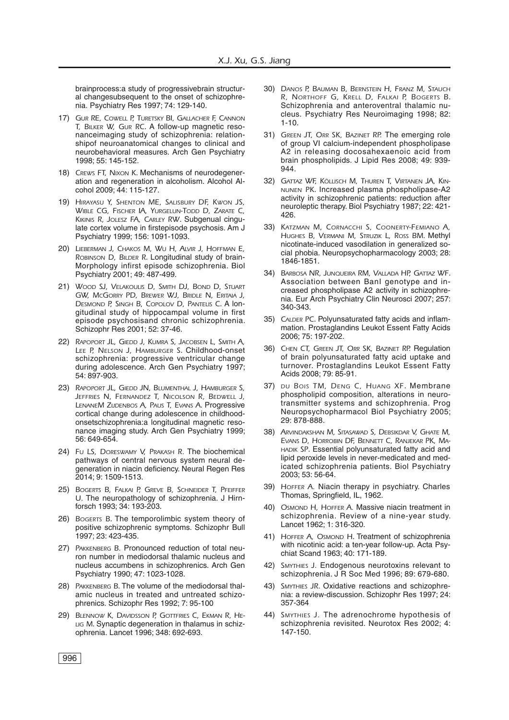brainprocess:a study of progressivebrain structural changesubsequent to the onset of schizophrenia. Psychiatry Res 1997; 74: 129-140.

- 17) *GUR RE, COWELL P, TURETSKY BI, GALLACHER F, CANNON T, BILKER W, GUR RC*. A follow-up magnetic resonanceimaging study of schizophrenia: relationshipof neuroanatomical changes to clinical and neurobehavioral measures. Arch Gen Psychiatry 1998; 55: 145-152.
- 18) *CREWS FT, NIXON K*. Mechanisms of neurodegeneration and regeneration in alcoholism. Alcohol Alcohol 2009; 44: 115-127.
- 19) *HIRAYASU Y, SHENTON ME, SALISBURY DF, KWON JS, WIBLE CG, FISCHER IA, YURGELUN-TODD D, ZARATE C, KIKINIS R, JOLESZ FA, CARLEY RW*. Subgenual cingulate cortex volume in firstepisode psychosis. Am J Psychiatry 1999; 156: 1091-1093.
- 20) *LIEBERMAN J, CHAKOS M, WU H, ALVIR J, HOFFMAN E, ROBINSON D, BILDER R*. Longitudinal study of brain-Morphology infirst episode schizophrenia. Biol Psychiatry 2001; 49: 487-499.
- 21) *WOOD SJ, VELAKOULIS D, SMITH DJ, BOND D, STUART GW, MCGORRY PD, BREWER WJ, BRIDLE N, ERITAIA J, DESMOND P, SINGH B, COPOLOV D, PANTELIS C*. A longitudinal study of hippocampal volume in first episode psychosisand chronic schizophrenia. Schizophr Res 2001; 52: 37-46.
- 22) *RAPOPORT JL, GIEDD J, KUMRA S, JACOBSEN L, SMITH A, LEE P, NELSON J, HAMBURGER S*. Childhood-onset schizophrenia: progressive ventricular change during adolescence. Arch Gen Psychiatry 1997; 54: 897-903.
- 23) *RAPOPORT JL, GIEDD JN, BLUMENTHAL J, HAMBURGER S, JEFFRIES N, FERNANDEZ T, NICOLSON R, BEDWELL J, LENANEM ZIJDENBOS A, PAUS T, EVANS A*. Progressive cortical change during adolescence in childhoodonsetschizophrenia:a longitudinal magnetic resonance imaging study. Arch Gen Psychiatry 1999; 56: 649-654.
- 24) *FU LS, DORESWAMY V, PRAKASH R.* The biochemical pathways of central nervous system neural degeneration in niacin deficiency. Neural Regen Res 2014; 9: 1509-1513.
- 25) *BOGERTS B, FALKAI P, GREVE B, SCHNEIDER T, PFEIFFER U.* The neuropathology of schizophrenia. J Hirnforsch 1993; 34: 193-203.
- 26) *BOGERTS B*. The temporolimbic system theory of positive schizophrenic symptoms. Schizophr Bull 1997; 23: 423-435.
- 27) *PAKKENBERG B.* Pronounced reduction of total neuron number in mediodorsal thalamic nucleus and nucleus accumbens in schizophrenics. Arch Gen Psychiatry 1990; 47: 1023-1028.
- 28) *PAKKENBERG B*. The volume of the mediodorsal thalamic nucleus in treated and untreated schizophrenics. Schizophr Res 1992; 7: 95-100
- 29) *BLENNOW K, DAVIDSSON P, GOTTFRIES C, EKMAN R, HE-LIG M*. Synaptic degeneration in thalamus in schizophrenia. Lancet 1996; 348: 692-693.
- 30) *DANOS P, BAUMAN B, BERNSTEIN H, FRANZ M, STAUCH R, NORTHOFF G, KRELL D, FALKAI P, BOGERTS B*. Schizophrenia and anteroventral thalamic nucleus. Psychiatry Res Neuroimaging 1998; 82: 1-10.
- 31) *GREEN JT, ORR SK, BAZINET RP.* The emerging role of group VI calcium-independent phospholipase A2 in releasing docosahexaenoic acid from brain phospholipids. J Lipid Res 2008; 49: 939- 944.
- 32) *GATTAZ WF, KÖLLISCH M, THUREN T, VIRTANEN JA, KIN-NUNEN PK*. Increased plasma phospholipase-A2 activity in schizophrenic patients: reduction after neuroleptic therapy. Biol Psychiatry 1987; 22: 421- 426.
- 33) *KATZMAN M, CORNACCHI S, COONERTY-FEMIANO A, HUGHES B, VERMANI M, STRUZIK L, ROSS BM*. Methyl nicotinate-induced vasodilation in generalized social phobia. Neuropsychopharmacology 2003; 28: 1846-1851.
- 34) *BARBOSA NR, JUNQUEIRA RM, VALLADA HP, GATTAZ WF*. Association between BanI genotype and increased phospholipase A2 activity in schizophrenia. Eur Arch Psychiatry Clin Neurosci 2007; 257: 340-343.
- 35) *CALDER PC*. Polyunsaturated fatty acids and inflammation. Prostaglandins Leukot Essent Fatty Acids 2006; 75: 197-202.
- 36) *CHEN CT, GREEN JT, ORR SK, BAZINET RP.* Regulation of brain polyunsaturated fatty acid uptake and turnover. Prostaglandins Leukot Essent Fatty Acids 2008; 79: 85-91.
- 37) *DU BOIS TM, DENG C, HUANG XF*. Membrane phospholipid composition, alterations in neurotransmitter systems and schizophrenia. Prog Neuropsychopharmacol Biol Psychiatry 2005; 29: 878-888.
- 38) *ARVINDAKSHAN M, SITASAWAD S, DEBSIKDAR V, GHATE M, EVANS D, HORROBIN DF, BENNETT C, RANJEKAR PK, MA-HADIK SP*. Essential polyunsaturated fatty acid and lipid peroxide levels in never-medicated and medicated schizophrenia patients. Biol Psychiatry 2003; 53: 56-64.
- 39) *HOFFER A.* Niacin therapy in psychiatry. Charles Thomas, Springfield, IL, 1962.
- 40) *OSMOND H, HOFFER A.* Massive niacin treatment in schizophrenia. Review of a nine-year study. Lancet 1962; 1: 316-320.
- 41) *HOFFER A, OSMOND H*. Treatment of schizophrenia with nicotinic acid: a ten-year follow-up. Acta Psychiat Scand 1963; 40: 171-189.
- 42) *SMYTHIES J.* Endogenous neurotoxins relevant to schizophrenia. J R Soc Med 1996; 89: 679-680.
- 43) *SMYTHIES JR*. Oxidative reactions and schizophrenia: a review-discussion. Schizophr Res 1997; 24: 357-364
- 44) *SMYTHIES J.* The adrenochrome hypothesis of schizophrenia revisited. Neurotox Res 2002; 4: 147-150.